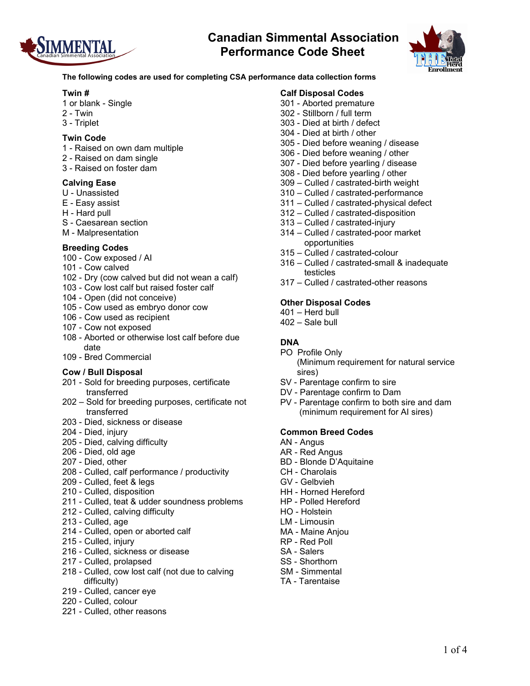



**The following codes are used for completing CSA performance data collection forms**

### **Twin #**

- 1 or blank Single
- 2 Twin
- 3 Triplet

### **Twin Code**

- 1 Raised on own dam multiple
- 2 Raised on dam single
- 3 Raised on foster dam

### **Calving Ease**

- U Unassisted
- E Easy assist
- H Hard pull
- S Caesarean section
- M Malpresentation

### **Breeding Codes**

- 100 Cow exposed / AI
- 101 Cow calved
- 102 Dry (cow calved but did not wean a calf)
- 103 Cow lost calf but raised foster calf
- 104 Open (did not conceive)
- 105 Cow used as embryo donor cow
- 106 Cow used as recipient
- 107 Cow not exposed
- 108 Aborted or otherwise lost calf before due date
- 109 Bred Commercial

#### **Cow / Bull Disposal**

- 201 Sold for breeding purposes, certificate transferred
- 202 Sold for breeding purposes, certificate not transferred
- 203 Died, sickness or disease
- 204 Died, injury
- 205 Died, calving difficulty
- 206 Died, old age
- 207 Died, other
- 208 Culled, calf performance / productivity
- 209 Culled, feet & legs
- 210 Culled, disposition
- 211 Culled, teat & udder soundness problems
- 212 Culled, calving difficulty
- 213 Culled, age
- 214 Culled, open or aborted calf
- 215 Culled, injury
- 216 Culled, sickness or disease
- 217 Culled, prolapsed
- 218 Culled, cow lost calf (not due to calving difficulty)
- 219 Culled, cancer eye
- 220 Culled, colour
- 221 Culled, other reasons

## **Calf Disposal Codes**

- 301 Aborted premature
- 302 Stillborn / full term
- 303 Died at birth / defect
- 304 Died at birth / other
- 305 Died before weaning / disease
- 306 Died before weaning / other
- 307 Died before yearling / disease
- 308 Died before yearling / other
- 309 Culled / castrated-birth weight
- 310 Culled / castrated-performance
- 311 Culled / castrated-physical defect
- 312 Culled / castrated-disposition
- 313 Culled / castrated-injury
- 314 Culled / castrated-poor market opportunities
- 315 Culled / castrated-colour
- 316 Culled / castrated-small & inadequate testicles
- 317 Culled / castrated-other reasons

#### **Other Disposal Codes**

- 401 Herd bull
- 402 Sale bull

## **DNA**

- PO Profile Only (Minimum requirement for natural service sires)
- SV Parentage confirm to sire
- DV Parentage confirm to Dam
- PV Parentage confirm to both sire and dam (minimum requirement for AI sires)

#### **Common Breed Codes**

- AN Angus
- AR Red Angus
- BD Blonde D'Aquitaine
- CH Charolais
- GV Gelbvieh
- HH Horned Hereford
- HP Polled Hereford
- HO Holstein
- LM Limousin
- MA Maine Anjou
- RP Red Poll
- SA Salers
- SS Shorthorn
- SM Simmental
- TA Tarentaise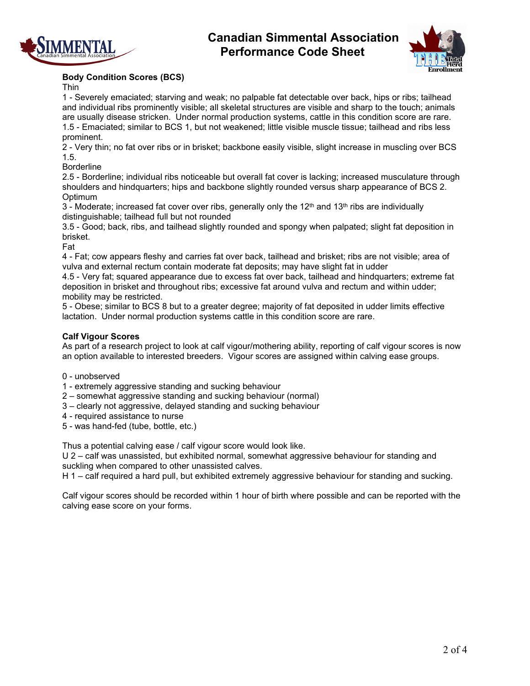



## **Body Condition Scores (BCS)**

Thin

1 - Severely emaciated; starving and weak; no palpable fat detectable over back, hips or ribs; tailhead and individual ribs prominently visible; all skeletal structures are visible and sharp to the touch; animals are usually disease stricken. Under normal production systems, cattle in this condition score are rare. 1.5 - Emaciated; similar to BCS 1, but not weakened; little visible muscle tissue; tailhead and ribs less prominent.

2 - Very thin; no fat over ribs or in brisket; backbone easily visible, slight increase in muscling over BCS 1.5.

**Borderline** 

2.5 - Borderline; individual ribs noticeable but overall fat cover is lacking; increased musculature through shoulders and hindquarters; hips and backbone slightly rounded versus sharp appearance of BCS 2. **Optimum** 

 $3$  - Moderate; increased fat cover over ribs, generally only the 12<sup>th</sup> and 13<sup>th</sup> ribs are individually distinguishable; tailhead full but not rounded

3.5 - Good; back, ribs, and tailhead slightly rounded and spongy when palpated; slight fat deposition in brisket.

Fat

4 - Fat; cow appears fleshy and carries fat over back, tailhead and brisket; ribs are not visible; area of vulva and external rectum contain moderate fat deposits; may have slight fat in udder

4.5 - Very fat; squared appearance due to excess fat over back, tailhead and hindquarters; extreme fat deposition in brisket and throughout ribs; excessive fat around vulva and rectum and within udder; mobility may be restricted.

5 - Obese; similar to BCS 8 but to a greater degree; majority of fat deposited in udder limits effective lactation. Under normal production systems cattle in this condition score are rare.

## **Calf Vigour Scores**

As part of a research project to look at calf vigour/mothering ability, reporting of calf vigour scores is now an option available to interested breeders. Vigour scores are assigned within calving ease groups.

- 0 unobserved
- 1 extremely aggressive standing and sucking behaviour
- 2 somewhat aggressive standing and sucking behaviour (normal)
- 3 clearly not aggressive, delayed standing and sucking behaviour
- 4 required assistance to nurse
- 5 was hand-fed (tube, bottle, etc.)

Thus a potential calving ease / calf vigour score would look like.

U 2 – calf was unassisted, but exhibited normal, somewhat aggressive behaviour for standing and suckling when compared to other unassisted calves.

H 1 – calf required a hard pull, but exhibited extremely aggressive behaviour for standing and sucking.

Calf vigour scores should be recorded within 1 hour of birth where possible and can be reported with the calving ease score on your forms.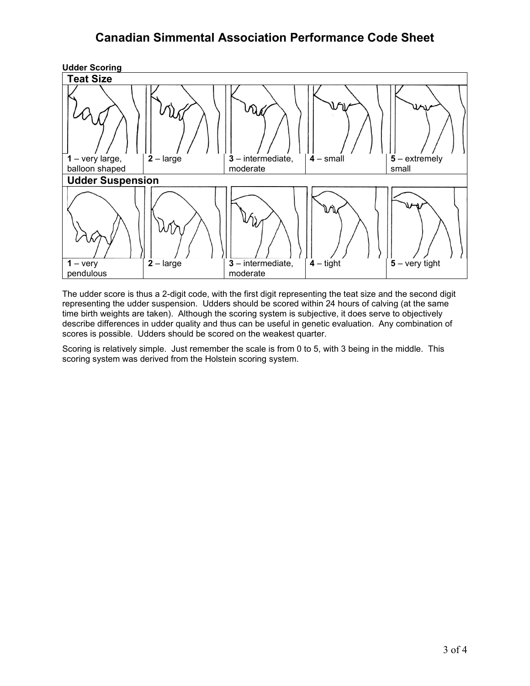

The udder score is thus a 2-digit code, with the first digit representing the teat size and the second digit representing the udder suspension. Udders should be scored within 24 hours of calving (at the same time birth weights are taken). Although the scoring system is subjective, it does serve to objectively describe differences in udder quality and thus can be useful in genetic evaluation. Any combination of scores is possible. Udders should be scored on the weakest quarter.

Scoring is relatively simple. Just remember the scale is from 0 to 5, with 3 being in the middle. This scoring system was derived from the Holstein scoring system.